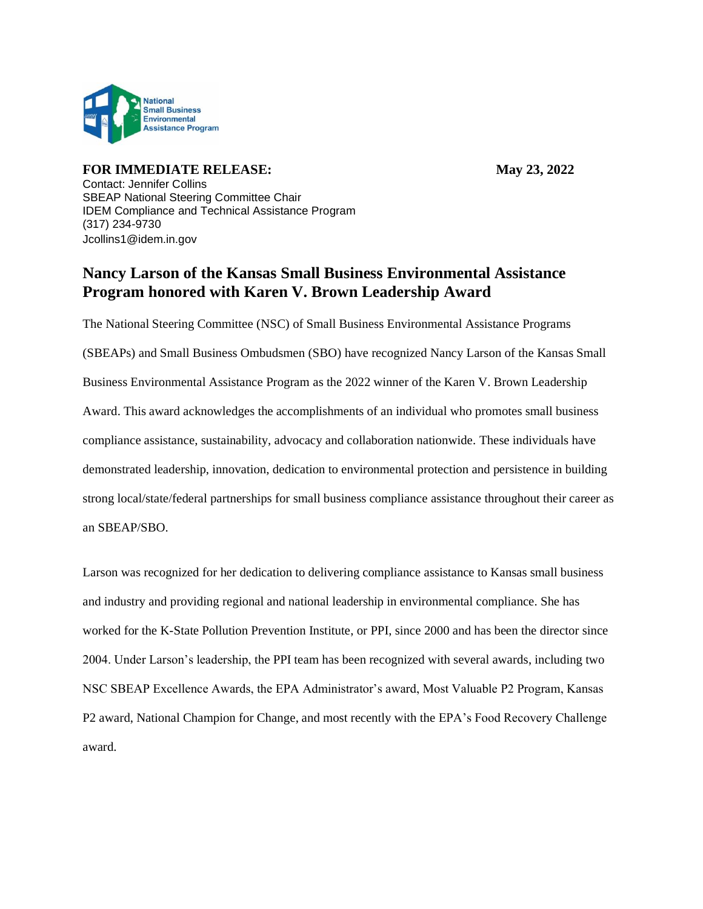

**FOR IMMEDIATE RELEASE:** May 23, 2022 Contact: Jennifer Collins SBEAP National Steering Committee Chair IDEM Compliance and Technical Assistance Program (317) 234-9730 Jcollins1@idem.in.gov

## **Nancy Larson of the Kansas Small Business Environmental Assistance Program honored with Karen V. Brown Leadership Award**

The National Steering Committee (NSC) of Small Business Environmental Assistance Programs (SBEAPs) and Small Business Ombudsmen (SBO) have recognized Nancy Larson of the Kansas Small Business Environmental Assistance Program as the 2022 winner of the Karen V. Brown Leadership Award. This award acknowledges the accomplishments of an individual who promotes small business compliance assistance, sustainability, advocacy and collaboration nationwide. These individuals have demonstrated leadership, innovation, dedication to environmental protection and persistence in building strong local/state/federal partnerships for small business compliance assistance throughout their career as an SBEAP/SBO.

Larson was recognized for her dedication to delivering compliance assistance to Kansas small business and industry and providing regional and national leadership in environmental compliance. She has worked for the K-State Pollution Prevention Institute, or PPI, since 2000 and has been the director since 2004. Under Larson's leadership, the PPI team has been recognized with several awards, including two NSC SBEAP Excellence Awards, the EPA Administrator's award, Most Valuable P2 Program, Kansas P2 award, National Champion for Change, and most recently with the EPA's Food Recovery Challenge award.